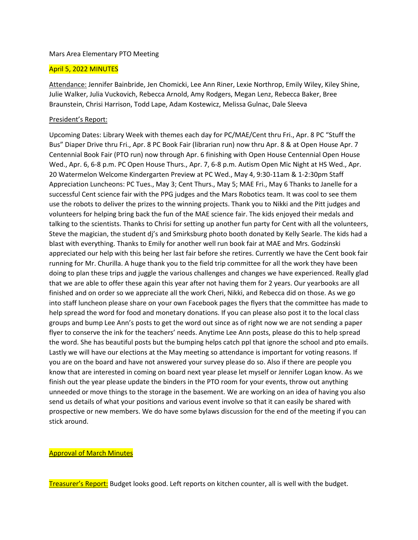### Mars Area Elementary PTO Meeting

# April 5, 2022 MINUTES

Attendance: Jennifer Bainbride, Jen Chomicki, Lee Ann Riner, Lexie Northrop, Emily Wiley, Kiley Shine, Julie Walker, Julia Vuckovich, Rebecca Arnold, Amy Rodgers, Megan Lenz, Rebecca Baker, Bree Braunstein, Chrisi Harrison, Todd Lape, Adam Kostewicz, Melissa Gulnac, Dale Sleeva

# President's Report:

Upcoming Dates: Library Week with themes each day for PC/MAE/Cent thru Fri., Apr. 8 PC "Stuff the Bus" Diaper Drive thru Fri., Apr. 8 PC Book Fair (librarian run) now thru Apr. 8 & at Open House Apr. 7 Centennial Book Fair (PTO run) now through Apr. 6 finishing with Open House Centennial Open House Wed., Apr. 6, 6-8 p.m. PC Open House Thurs., Apr. 7, 6-8 p.m. Autism Open Mic Night at HS Wed., Apr. 20 Watermelon Welcome Kindergarten Preview at PC Wed., May 4, 9:30-11am & 1-2:30pm Staff Appreciation Luncheons: PC Tues., May 3; Cent Thurs., May 5; MAE Fri., May 6 Thanks to Janelle for a successful Cent science fair with the PPG judges and the Mars Robotics team. It was cool to see them use the robots to deliver the prizes to the winning projects. Thank you to Nikki and the Pitt judges and volunteers for helping bring back the fun of the MAE science fair. The kids enjoyed their medals and talking to the scientists. Thanks to Chrisi for setting up another fun party for Cent with all the volunteers, Steve the magician, the student dj's and Smirksburg photo booth donated by Kelly Searle. The kids had a blast with everything. Thanks to Emily for another well run book fair at MAE and Mrs. Godzinski appreciated our help with this being her last fair before she retires. Currently we have the Cent book fair running for Mr. Churilla. A huge thank you to the field trip committee for all the work they have been doing to plan these trips and juggle the various challenges and changes we have experienced. Really glad that we are able to offer these again this year after not having them for 2 years. Our yearbooks are all finished and on order so we appreciate all the work Cheri, Nikki, and Rebecca did on those. As we go into staff luncheon please share on your own Facebook pages the flyers that the committee has made to help spread the word for food and monetary donations. If you can please also post it to the local class groups and bump Lee Ann's posts to get the word out since as of right now we are not sending a paper flyer to conserve the ink for the teachers' needs. Anytime Lee Ann posts, please do this to help spread the word. She has beautiful posts but the bumping helps catch ppl that ignore the school and pto emails. Lastly we will have our elections at the May meeting so attendance is important for voting reasons. If you are on the board and have not answered your survey please do so. Also if there are people you know that are interested in coming on board next year please let myself or Jennifer Logan know. As we finish out the year please update the binders in the PTO room for your events, throw out anything unneeded or move things to the storage in the basement. We are working on an idea of having you also send us details of what your positions and various event involve so that it can easily be shared with prospective or new members. We do have some bylaws discussion for the end of the meeting if you can stick around.

## Approval of March Minutes

Treasurer's Report: Budget looks good. Left reports on kitchen counter, all is well with the budget.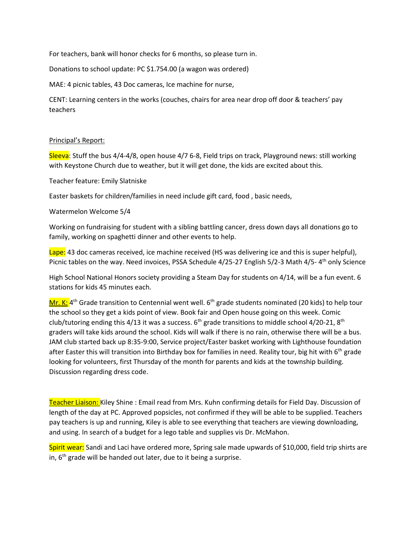For teachers, bank will honor checks for 6 months, so please turn in.

Donations to school update: PC \$1.754.00 (a wagon was ordered)

MAE: 4 picnic tables, 43 Doc cameras, Ice machine for nurse,

CENT: Learning centers in the works (couches, chairs for area near drop off door & teachers' pay teachers

### Principal's Report:

Sleeva: Stuff the bus 4/4-4/8, open house 4/7 6-8, Field trips on track, Playground news: still working with Keystone Church due to weather, but it will get done, the kids are excited about this.

Teacher feature: Emily Slatniske

Easter baskets for children/families in need include gift card, food , basic needs,

### Watermelon Welcome 5/4

Working on fundraising for student with a sibling battling cancer, dress down days all donations go to family, working on spaghetti dinner and other events to help.

Lape: 43 doc cameras received, ice machine received (HS was delivering ice and this is super helpful), Picnic tables on the way. Need invoices, PSSA Schedule 4/25-27 English 5/2-3 Math 4/5-4<sup>th</sup> only Science

High School National Honors society providing a Steam Day for students on 4/14, will be a fun event. 6 stations for kids 45 minutes each.

Mr. K: 4<sup>th</sup> Grade transition to Centennial went well. 6<sup>th</sup> grade students nominated (20 kids) to help tour the school so they get a kids point of view. Book fair and Open house going on this week. Comic club/tutoring ending this 4/13 it was a success.  $6<sup>th</sup>$  grade transitions to middle school 4/20-21,  $8<sup>th</sup>$ graders will take kids around the school. Kids will walk if there is no rain, otherwise there will be a bus. JAM club started back up 8:35-9:00, Service project/Easter basket working with Lighthouse foundation after Easter this will transition into Birthday box for families in need. Reality tour, big hit with 6<sup>th</sup> grade looking for volunteers, first Thursday of the month for parents and kids at the township building. Discussion regarding dress code.

Teacher Liaison: Kiley Shine : Email read from Mrs. Kuhn confirming details for Field Day. Discussion of length of the day at PC. Approved popsicles, not confirmed if they will be able to be supplied. Teachers pay teachers is up and running, Kiley is able to see everything that teachers are viewing downloading, and using. In search of a budget for a lego table and supplies vis Dr. McMahon.

Spirit wear: Sandi and Laci have ordered more, Spring sale made upwards of \$10,000, field trip shirts are in,  $6<sup>th</sup>$  grade will be handed out later, due to it being a surprise.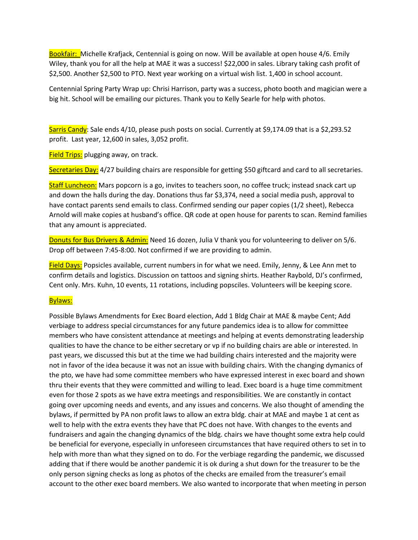Bookfair: Michelle Krafjack, Centennial is going on now. Will be available at open house 4/6. Emily Wiley, thank you for all the help at MAE it was a success! \$22,000 in sales. Library taking cash profit of \$2,500. Another \$2,500 to PTO. Next year working on a virtual wish list. 1,400 in school account.

Centennial Spring Party Wrap up: Chrisi Harrison, party was a success, photo booth and magician were a big hit. School will be emailing our pictures. Thank you to Kelly Searle for help with photos.

Sarris Candy: Sale ends 4/10, please push posts on social. Currently at \$9,174.09 that is a \$2,293.52 profit. Last year, 12,600 in sales, 3,052 profit.

**Field Trips:** plugging away, on track.

Secretaries Day: 4/27 building chairs are responsible for getting \$50 giftcard and card to all secretaries.

Staff Luncheon: Mars popcorn is a go, invites to teachers soon, no coffee truck; instead snack cart up and down the halls during the day. Donations thus far \$3,374, need a social media push, approval to have contact parents send emails to class. Confirmed sending our paper copies (1/2 sheet), Rebecca Arnold will make copies at husband's office. QR code at open house for parents to scan. Remind families that any amount is appreciated.

Donuts for Bus Drivers & Admin: Need 16 dozen, Julia V thank you for volunteering to deliver on 5/6. Drop off between 7:45-8:00. Not confirmed if we are providing to admin.

Field Days: Popsicles available, current numbers in for what we need. Emily, Jenny, & Lee Ann met to confirm details and logistics. Discussion on tattoos and signing shirts. Heather Raybold, DJ's confirmed, Cent only. Mrs. Kuhn, 10 events, 11 rotations, including popsciles. Volunteers will be keeping score.

## Bylaws:

Possible Bylaws Amendments for Exec Board election, Add 1 Bldg Chair at MAE & maybe Cent; Add verbiage to address special circumstances for any future pandemics idea is to allow for committee members who have consistent attendance at meetings and helping at events demonstrating leadership qualities to have the chance to be either secretary or vp if no building chairs are able or interested. In past years, we discussed this but at the time we had building chairs interested and the majority were not in favor of the idea because it was not an issue with building chairs. With the changing dymanics of the pto, we have had some committee members who have expressed interest in exec board and shown thru their events that they were committed and willing to lead. Exec board is a huge time commitment even for those 2 spots as we have extra meetings and responsibilities. We are constantly in contact going over upcoming needs and events, and any issues and concerns. We also thought of amending the bylaws, if permitted by PA non profit laws to allow an extra bldg. chair at MAE and maybe 1 at cent as well to help with the extra events they have that PC does not have. With changes to the events and fundraisers and again the changing dynamics of the bldg. chairs we have thought some extra help could be beneficial for everyone, especially in unforeseen circumstances that have required others to set in to help with more than what they signed on to do. For the verbiage regarding the pandemic, we discussed adding that if there would be another pandemic it is ok during a shut down for the treasurer to be the only person signing checks as long as photos of the checks are emailed from the treasurer's email account to the other exec board members. We also wanted to incorporate that when meeting in person